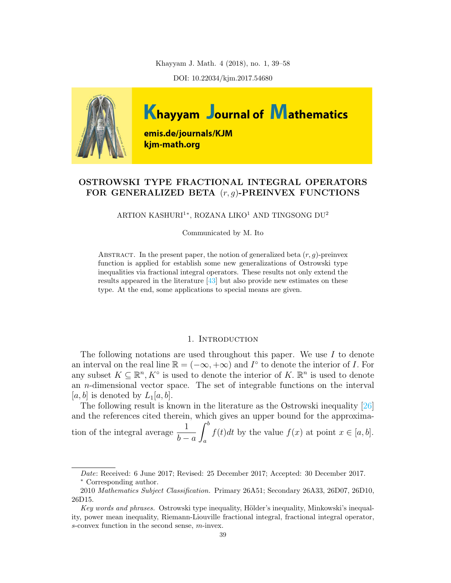Khayyam J. Math. 4 (2018), no. 1, 39–58

DOI: 10.22034/kjm.2017.54680



# OSTROWSKI TYPE FRACTIONAL INTEGRAL OPERATORS FOR GENERALIZED BETA  $(r, g)$ -PREINVEX FUNCTIONS

ARTION KASHURI<sup>1</sup>\*, ROZANA LIKO<sup>1</sup> AND TINGSONG DU<sup>2</sup>

Communicated by M. Ito

ABSTRACT. In the present paper, the notion of generalized beta  $(r, q)$ -preinvex function is applied for establish some new generalizations of Ostrowski type inequalities via fractional integral operators. These results not only extend the results appeared in the literature [\[43\]](#page-19-0) but also provide new estimates on these type. At the end, some applications to special means are given.

### 1. Introduction

The following notations are used throughout this paper. We use  $I$  to denote an interval on the real line  $\mathbb{R} = (-\infty, +\infty)$  and  $I^{\circ}$  to denote the interior of I. For any subset  $K \subseteq \mathbb{R}^n, K^{\circ}$  is used to denote the interior of K.  $\mathbb{R}^n$  is used to denote an n-dimensional vector space. The set of integrable functions on the interval [a, b] is denoted by  $L_1[a, b]$ .

The following result is known in the literature as the Ostrowski inequality [\[26\]](#page-19-1) and the references cited therein, which gives an upper bound for the approximation of the integral average  $\frac{1}{1}$  $b - a$  $\int^b$ a  $f(t)dt$  by the value  $f(x)$  at point  $x \in [a, b]$ .

Date: Received: 6 June 2017; Revised: 25 December 2017; Accepted: 30 December 2017. Corresponding author.

<sup>2010</sup> Mathematics Subject Classification. Primary 26A51; Secondary 26A33, 26D07, 26D10, 26D15.

Key words and phrases. Ostrowski type inequality, Hölder's inequality, Minkowski's inequality, power mean inequality, Riemann-Liouville fractional integral, fractional integral operator, s-convex function in the second sense, m-invex.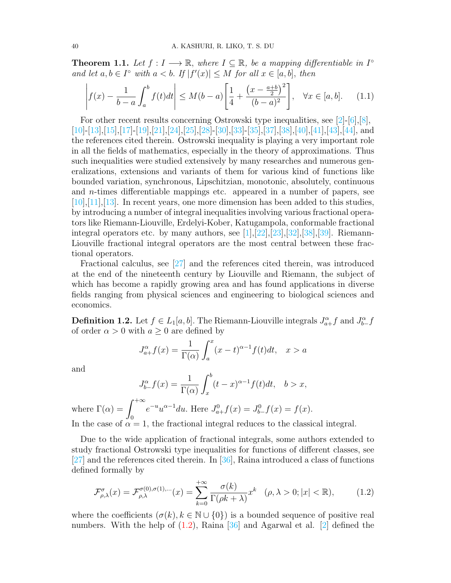**Theorem 1.1.** Let  $f: I \longrightarrow \mathbb{R}$ , where  $I \subseteq \mathbb{R}$ , be a mapping differentiable in  $I^{\circ}$ and let  $a, b \in I^{\circ}$  with  $a < b$ . If  $|f'(x)| \leq M$  for all  $x \in [a, b]$ , then

$$
\left| f(x) - \frac{1}{b-a} \int_a^b f(t)dt \right| \le M(b-a) \left[ \frac{1}{4} + \frac{\left(x - \frac{a+b}{2}\right)^2}{(b-a)^2} \right], \quad \forall x \in [a, b]. \tag{1.1}
$$

For other recent results concerning Ostrowski type inequalities, see  $[2]-[6], [8]$  $[2]-[6], [8]$  $[2]-[6], [8]$  $[2]-[6], [8]$ , [\[10\]](#page-18-3)-[\[13\]](#page-18-4),[\[15\]](#page-18-5),[\[17\]](#page-18-6)-[\[19\]](#page-18-7),[\[21\]](#page-18-8),[\[24\]](#page-19-2),[\[25\]](#page-19-3),[\[28\]](#page-19-4)-[\[30\]](#page-19-5),[\[33\]](#page-19-6)-[\[35\]](#page-19-7),[\[37\]](#page-19-8),[\[38\]](#page-19-9),[\[40\]](#page-19-10),[\[41\]](#page-19-11),[\[43\]](#page-19-0),[\[44\]](#page-19-12), and the references cited therein. Ostrowski inequality is playing a very important role in all the fields of mathematics, especially in the theory of approximations. Thus such inequalities were studied extensively by many researches and numerous generalizations, extensions and variants of them for various kind of functions like bounded variation, synchronous, Lipschitzian, monotonic, absolutely, continuous and n-times differentiable mappings etc. appeared in a number of papers, see  $[10],[11],[13]$  $[10],[11],[13]$  $[10],[11],[13]$  $[10],[11],[13]$  $[10],[11],[13]$ . In recent years, one more dimension has been added to this studies, by introducing a number of integral inequalities involving various fractional operators like Riemann-Liouville, Erdelyi-Kober, Katugampola, conformable fractional integral operators etc. by many authors, see  $[1]$ , $[22]$ , $[23]$ , $[32]$ , $[38]$ , $[39]$ . Riemann-Liouville fractional integral operators are the most central between these fractional operators.

Fractional calculus, see [\[27\]](#page-19-15) and the references cited therein, was introduced at the end of the nineteenth century by Liouville and Riemann, the subject of which has become a rapidly growing area and has found applications in diverse fields ranging from physical sciences and engineering to biological sciences and economics.

**Definition 1.2.** Let  $f \in L_1[a, b]$ . The Riemann-Liouville integrals  $J_{a+}^{\alpha} f$  and  $J_{b-}^{\alpha} f$ of order  $\alpha > 0$  with  $a \ge 0$  are defined by

$$
J_{a+}^{\alpha}f(x) = \frac{1}{\Gamma(\alpha)} \int_{a}^{x} (x-t)^{\alpha-1} f(t)dt, \quad x > a
$$

and

$$
J_{b-}^{\alpha}f(x) = \frac{1}{\Gamma(\alpha)} \int_{x}^{b} (t-x)^{\alpha-1} f(t)dt, \quad b > x,
$$

where  $\Gamma(\alpha) = \int^{+\infty}$ 0  $e^{-u}u^{\alpha-1}du$ . Here  $J_{a+}^{0}f(x) = J_{b-}^{0}f(x) = f(x)$ . In the case of  $\alpha = 1$ , the fractional integral reduces to the classical integral.

Due to the wide application of fractional integrals, some authors extended to study fractional Ostrowski type inequalities for functions of different classes, see [\[27\]](#page-19-15) and the references cited therein. In [\[36\]](#page-19-16), Raina introduced a class of functions defined formally by

<span id="page-1-0"></span>
$$
\mathcal{F}^{\sigma}_{\rho,\lambda}(x) = \mathcal{F}^{\sigma(0),\sigma(1),\dots}_{\rho,\lambda}(x) = \sum_{k=0}^{+\infty} \frac{\sigma(k)}{\Gamma(\rho k + \lambda)} x^k \quad (\rho,\lambda > 0; |x| < \mathbb{R}),\tag{1.2}
$$

where the coefficients  $(\sigma(k), k \in \mathbb{N} \cup \{0\})$  is a bounded sequence of positive real numbers. With the help of [\(1.2\)](#page-1-0), Raina [\[36\]](#page-19-16) and Agarwal et al. [\[2\]](#page-18-0) defined the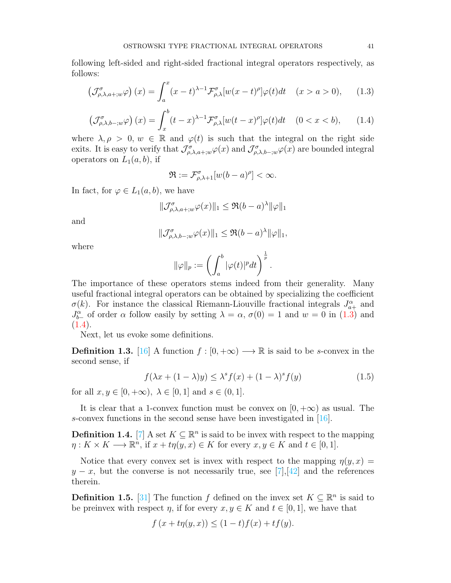following left-sided and right-sided fractional integral operators respectively, as follows:

<span id="page-2-0"></span>
$$
\left(\mathcal{J}^{\sigma}_{\rho,\lambda,a+;w}\varphi\right)(x) = \int_{a}^{x} (x-t)^{\lambda-1} \mathcal{F}^{\sigma}_{\rho,\lambda}[w(x-t)^{\rho}]\varphi(t)dt \quad (x > a > 0), \quad (1.3)
$$

<span id="page-2-1"></span>
$$
\left(\mathcal{J}^{\sigma}_{\rho,\lambda,b-,w}\varphi\right)(x) = \int_{x}^{b} (t-x)^{\lambda-1} \mathcal{F}^{\sigma}_{\rho,\lambda}[w(t-x)^{\rho}]\varphi(t)dt \quad (0 < x < b), \qquad (1.4)
$$

where  $\lambda, \rho > 0, w \in \mathbb{R}$  and  $\varphi(t)$  is such that the integral on the right side exits. It is easy to verify that  $\mathcal{J}^{\sigma}_{\rho,\lambda,a+;w}\varphi(x)$  and  $\mathcal{J}^{\sigma}_{\rho,\lambda,b-;w}\varphi(x)$  are bounded integral operators on  $L_1(a, b)$ , if

$$
\Re:=\mathcal{F}^\sigma_{\rho,\lambda+1}[w(b-a)^\rho]<\infty.
$$

In fact, for  $\varphi \in L_1(a, b)$ , we have

$$
\|\mathcal{J}_{\rho,\lambda,a+;w}^{\sigma}\varphi(x)\|_{1} \leq \Re(b-a)^{\lambda}\|\varphi\|_{1}
$$

and

$$
\|\mathcal{J}_{\rho,\lambda,b-;w}^{\sigma}\varphi(x)\|_{1} \leq \Re(b-a)^{\lambda} \|\varphi\|_{1},
$$

where

$$
\|\varphi\|_p := \left(\int_a^b |\varphi(t)|^p dt\right)^{\frac{1}{p}}.
$$

The importance of these operators stems indeed from their generality. Many useful fractional integral operators can be obtained by specializing the coefficient  $\sigma(k)$ . For instance the classical Riemann-Liouville fractional integrals  $J_{a+}^{\alpha}$  and  $J_{b-}^{\alpha}$  of order  $\alpha$  follow easily by setting  $\lambda = \alpha$ ,  $\sigma(0) = 1$  and  $w = 0$  in [\(1.3\)](#page-2-0) and  $(1.4).$  $(1.4).$ 

Next, let us evoke some definitions.

<span id="page-2-2"></span>**Definition 1.3.** [\[16\]](#page-18-13) A function  $f : [0, +\infty) \longrightarrow \mathbb{R}$  is said to be s-convex in the second sense, if

$$
f(\lambda x + (1 - \lambda)y) \le \lambda^s f(x) + (1 - \lambda)^s f(y)
$$
\n(1.5)

for all  $x, y \in [0, +\infty)$ ,  $\lambda \in [0, 1]$  and  $s \in (0, 1]$ .

It is clear that a 1-convex function must be convex on  $[0, +\infty)$  as usual. The s-convex functions in the second sense have been investigated in [\[16\]](#page-18-13).

**Definition 1.4.** [\[7\]](#page-18-14) A set  $K \subseteq \mathbb{R}^n$  is said to be invex with respect to the mapping  $\eta: K \times K \longrightarrow \mathbb{R}^n$ , if  $x + t\eta(y, x) \in K$  for every  $x, y \in K$  and  $t \in [0, 1]$ .

Notice that every convex set is invex with respect to the mapping  $\eta(y, x) =$  $y - x$ , but the converse is not necessarily true, see [\[7\]](#page-18-14), [\[42\]](#page-19-17) and the references therein.

**Definition 1.5.** [\[31\]](#page-19-18) The function f defined on the invex set  $K \subseteq \mathbb{R}^n$  is said to be preinvex with respect  $\eta$ , if for every  $x, y \in K$  and  $t \in [0, 1]$ , we have that

$$
f(x+t\eta(y,x)) \le (1-t)f(x) + tf(y).
$$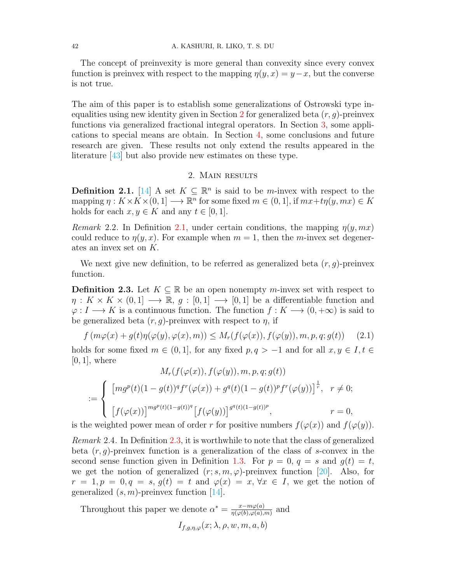The concept of preinvexity is more general than convexity since every convex function is preinvex with respect to the mapping  $\eta(y, x) = y - x$ , but the converse is not true.

The aim of this paper is to establish some generalizations of Ostrowski type in-equalities using new identity given in Section [2](#page-3-0) for generalized beta  $(r, q)$ -preinvex functions via generalized fractional integral operators. In Section [3,](#page-15-0) some applications to special means are obtain. In Section [4,](#page-17-0) some conclusions and future research are given. These results not only extend the results appeared in the literature [\[43\]](#page-19-0) but also provide new estimates on these type.

## 2. Main results

<span id="page-3-1"></span><span id="page-3-0"></span>**Definition 2.1.** [\[14\]](#page-18-15) A set  $K \subseteq \mathbb{R}^n$  is said to be *m*-invex with respect to the mapping  $\eta: K \times K \times (0,1] \longrightarrow \mathbb{R}^n$  for some fixed  $m \in (0,1]$ , if  $mx+t\eta(y,mx) \in K$ holds for each  $x, y \in K$  and any  $t \in [0, 1]$ .

Remark 2.2. In Definition [2.1,](#page-3-1) under certain conditions, the mapping  $\eta(y, mx)$ could reduce to  $\eta(y, x)$ . For example when  $m = 1$ , then the m-invex set degenerates an invex set on K.

We next give new definition, to be referred as generalized beta  $(r, g)$ -preinvex function.

<span id="page-3-2"></span>**Definition 2.3.** Let  $K \subseteq \mathbb{R}$  be an open nonempty m-invex set with respect to  $\eta: K \times K \times (0,1] \longrightarrow \mathbb{R}, g: [0,1] \longrightarrow [0,1]$  be a differentiable function and  $\varphi: I \longrightarrow K$  is a continuous function. The function  $f: K \longrightarrow (0, +\infty)$  is said to be generalized beta  $(r, q)$ -preinvex with respect to  $\eta$ , if

$$
f(m\varphi(x) + g(t)\eta(\varphi(y), \varphi(x), m)) \le M_r(f(\varphi(x)), f(\varphi(y)), m, p, q; g(t)) \quad (2.1)
$$

holds for some fixed  $m \in (0,1]$ , for any fixed  $p, q > -1$  and for all  $x, y \in I, t \in$  $[0, 1]$ , where  $M(f(\zeta))$ ,  $f(\zeta)$ ), m,  $g(\zeta)$ 

$$
M_r(f(\varphi(x)), f(\varphi(y)), m, p, q; g(t))
$$
  

$$
:= \begin{cases} [mg^p(t)(1 - g(t))^q f^r(\varphi(x)) + g^q(t)(1 - g(t))^p f^r(\varphi(y))]^{\frac{1}{r}}, & r \neq 0; \\ [f(\varphi(x))]^{mg^p(t)(1 - g(t))^q} [f(\varphi(y))]^{g^q(t)(1 - g(t))^p}, & r = 0, \end{cases}
$$

is the weighted power mean of order r for positive numbers  $f(\varphi(x))$  and  $f(\varphi(y))$ .

Remark 2.4. In Definition [2.3,](#page-3-2) it is worthwhile to note that the class of generalized beta  $(r, g)$ -preinvex function is a generalization of the class of s-convex in the second sense function given in Definition [1.3.](#page-2-2) For  $p = 0$ ,  $q = s$  and  $q(t) = t$ , we get the notion of generalized  $(r; s, m, \varphi)$ -preinvex function [\[20\]](#page-18-16). Also, for  $r = 1, p = 0, q = s, g(t) = t$  and  $\varphi(x) = x, \forall x \in I$ , we get the notion of generalized  $(s, m)$ -preinvex function [\[14\]](#page-18-15).

Throughout this paper we denote  $\alpha^* = \frac{x - m\varphi(a)}{n(\varphi(b), \varphi(a))}$  $\frac{x-m\varphi(a)}{\eta(\varphi(b),\varphi(a),m)}$  and  $I_{f,g,n,\varphi}(x; \lambda, \rho, w, m, a, b)$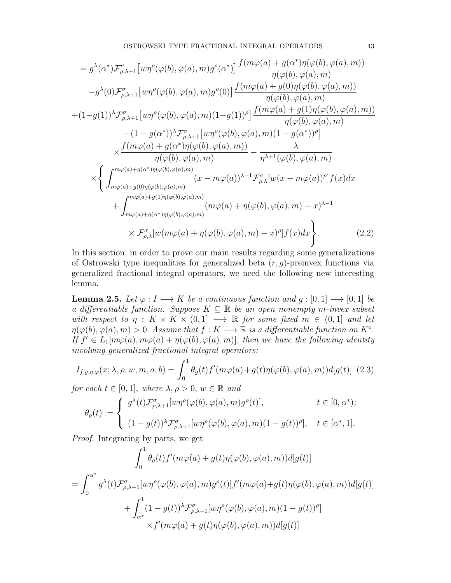$$
= g^{\lambda}(\alpha^{*}) \mathcal{F}_{\rho,\lambda+1}^{\sigma} \left[ w\eta^{\rho}(\varphi(b),\varphi(a),m)g^{\rho}(\alpha^{*}) \right] \frac{f(m\varphi(a)+g(\alpha^{*})\eta(\varphi(b),\varphi(a),m))}{\eta(\varphi(b),\varphi(a),m)}
$$
  
\n
$$
-g^{\lambda}(0) \mathcal{F}_{\rho,\lambda+1}^{\sigma} \left[ w\eta^{\rho}(\varphi(b),\varphi(a),m)g^{\rho}(0) \right] \frac{f(m\varphi(a)+g(0)\eta(\varphi(b),\varphi(a),m))}{\eta(\varphi(b),\varphi(a),m)}
$$
  
\n+(1-g(1))^{\lambda} \mathcal{F}\_{\rho,\lambda+1}^{\sigma} \left[ w\eta^{\rho}(\varphi(b),\varphi(a),m)(1-g(1))^{\rho} \right] \frac{f(m\varphi(a)+g(1)\eta(\varphi(b),\varphi(a),m))}{\eta(\varphi(b),\varphi(a),m)}  
\n
$$
-(1-g(\alpha^{*}))^{\lambda} \mathcal{F}_{\rho,\lambda+1}^{\sigma} \left[ w\eta^{\rho}(\varphi(b),\varphi(a),m)(1-g(\alpha^{*}))^{\rho} \right]
$$
  
\n
$$
\times \frac{f(m\varphi(a)+g(\alpha^{*})\eta(\varphi(b),\varphi(a),m))}{\eta(\varphi(b),\varphi(a),m)} - \frac{\lambda}{\eta^{\lambda+1}(\varphi(b),\varphi(a),m)}
$$
  
\n
$$
\times \left\{ \int_{m\varphi(a)+g(0)\eta(\varphi(b),\varphi(a),m)}^{\mu\varphi(a)+g(0)\eta(\varphi(b),\varphi(a),m)} (x-m\varphi(a))^{\lambda-1} \mathcal{F}_{\rho,\lambda}^{\sigma} [w(x-m\varphi(a))^{\rho}] f(x) dx \right\}
$$
  
\n
$$
+ \int_{m\varphi(a)+g(0)\eta(\varphi(b),\varphi(a),m)}^{\mu\varphi(a)+g(1)\eta(\varphi(b),\varphi(a),m)} (m\varphi(a)+\eta(\varphi(b),\varphi(a),m)-x)^{\lambda-1}
$$
  
\n
$$
\times \mathcal{F}_{\rho,\lambda}^{\sigma} [w(m\varphi(a)+\eta(\varphi(b),\varphi(a),m)} (x-m\varphi(b),\varphi(a),m)-x)^{\rho}]
$$

In this section, in order to prove our main results regarding some generalizations of Ostrowski type inequalities for generalized beta  $(r, q)$ -preinvex functions via generalized fractional integral operators, we need the following new interesting lemma.

<span id="page-4-0"></span>**Lemma 2.5.** Let  $\varphi: I \longrightarrow K$  be a continuous function and  $g: [0, 1] \longrightarrow [0, 1]$  be a differentiable function. Suppose  $K \subseteq \mathbb{R}$  be an open nonempty m-invex subset with respect to  $\eta : K \times K \times (0,1] \longrightarrow \mathbb{R}$  for some fixed  $m \in (0,1]$  and let  $\eta(\varphi(b), \varphi(a), m) > 0$ . Assume that  $f: K \longrightarrow \mathbb{R}$  is a differentiable function on  $K^{\circ}$ . If  $f' \in L_1[m\varphi(a), m\varphi(a) + \eta(\varphi(b), \varphi(a), m)]$ , then we have the following identity involving generalized fractional integral operators:

$$
I_{f,g,\eta,\varphi}(x;\lambda,\rho,w,m,a,b) = \int_0^1 \theta_g(t) f'(m\varphi(a) + g(t)\eta(\varphi(b),\varphi(a),m))d[g(t)] \tag{2.3}
$$

for each  $t \in [0,1]$ , where  $\lambda, \rho > 0$ ,  $w \in \mathbb{R}$  and

$$
\theta_g(t) := \begin{cases} g^{\lambda}(t) \mathcal{F}_{\rho,\lambda+1}^{\sigma} [w\eta^{\rho}(\varphi(b),\varphi(a),m) g^{\rho}(t)], & t \in [0,\alpha^*); \\ (1-g(t))^{\lambda} \mathcal{F}_{\rho,\lambda+1}^{\sigma} [w\eta^{\rho}(\varphi(b),\varphi(a),m)(1-g(t))^{\rho}], & t \in [\alpha^*,1]. \end{cases}
$$

Proof. Integrating by parts, we get

$$
\int_0^1 \theta_g(t) f'(m\varphi(a) + g(t)\eta(\varphi(b), \varphi(a), m))d[g(t)]
$$
  
= 
$$
\int_0^{\alpha^*} g^{\lambda}(t) \mathcal{F}_{\rho,\lambda+1}^{\sigma} [w\eta^{\rho}(\varphi(b), \varphi(a), m)g^{\rho}(t)] f'(m\varphi(a) + g(t)\eta(\varphi(b), \varphi(a), m))d[g(t)]
$$
  
+ 
$$
\int_{\alpha^*}^1 (1 - g(t))^{\lambda} \mathcal{F}_{\rho,\lambda+1}^{\sigma} [w\eta^{\rho}(\varphi(b), \varphi(a), m)(1 - g(t))^{\rho}]
$$
  
\$\times f'(m\varphi(a) + g(t)\eta(\varphi(b), \varphi(a), m))d[g(t)]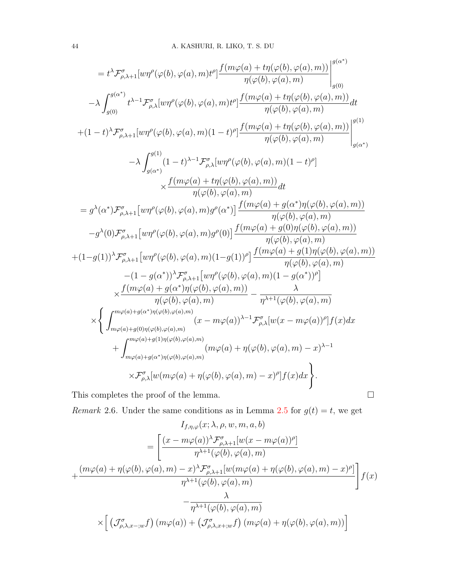$$
= t^{\lambda} \mathcal{F}_{\rho,\lambda+1}^{\sigma} [w\eta^{\rho}(\varphi(b),\varphi(a),m) t^{\rho}] \frac{f(m\varphi(a)+t\eta(\varphi(b),\varphi(a),m))}{\eta(\varphi(b),\varphi(a),m)} \Big|_{g(0)}^{g(\alpha^*)}
$$
  
\n
$$
- \lambda \int_{g(0)}^{g(\alpha^*)} t^{\lambda-1} \mathcal{F}_{\rho,\lambda}^{\sigma} [w\eta^{\rho}(\varphi(b),\varphi(a),m) t^{\rho}] \frac{f(m\varphi(a)+t\eta(\varphi(b),\varphi(a),m))}{\eta(\varphi(b),\varphi(a),m)} dt
$$
  
\n
$$
+ (1-t)^{\lambda} \mathcal{F}_{\rho,\lambda+1}^{\sigma} [w\eta^{\rho}(\varphi(b),\varphi(a),m) (1-t)^{\rho}] \frac{f(m\varphi(a)+t\eta(\varphi(b),\varphi(a),m))}{\eta(\varphi(b),\varphi(a),m)} \Big|_{g(\alpha^*)}^{g(1)}
$$
  
\n
$$
- \lambda \int_{g(\alpha^*)}^{g(1)} (1-t)^{\lambda-1} \mathcal{F}_{\rho,\lambda}^{\sigma} [w\eta^{\rho}(\varphi(b),\varphi(a),m) (1-t)^{\rho}] \times \frac{f(m\varphi(a)+t\eta(\varphi(b),\varphi(a),m))}{\eta(\varphi(b),\varphi(a),m)} dt
$$
  
\n
$$
= g^{\lambda}(\alpha^*) \mathcal{F}_{\rho,\lambda+1}^{\sigma} [w\eta^{\rho}(\varphi(b),\varphi(a),m) g^{\rho}(\alpha^*)] \frac{f(m\varphi(a)+g(\alpha^*)\eta(\varphi(b),\varphi(a),m))}{\eta(\varphi(b),\varphi(a),m)}
$$
  
\n
$$
-g^{\lambda}(0) \mathcal{F}_{\rho,\lambda+1}^{\sigma} [w\eta^{\rho}(\varphi(b),\varphi(a),m) g^{\rho}(0)] \frac{f(m\varphi(a)+g(0)\eta(\varphi(b),\varphi(a),m))}{\eta(\varphi(b),\varphi(a),m)}
$$
  
\n
$$
+ (1-g(1))^{\lambda} \mathcal{F}_{\rho,\lambda+1}^{\sigma} [w\eta^{\rho}(\varphi(b),\varphi(a),m) (1-g(1))^{\rho}] \frac{f(m\varphi(a)+g(1)\
$$

This completes the proof of the lemma.  $\hfill \square$ 

Remark 2.6. Under the same conditions as in Lemma [2.5](#page-4-0) for  $g(t) = t$ , we get

$$
I_{f,\eta,\varphi}(x;\lambda,\rho,w,m,a,b)
$$
\n
$$
= \left[ \frac{(x - m\varphi(a))^{\lambda} \mathcal{F}_{\rho,\lambda+1}^{\sigma}[w(x - m\varphi(a))^{\rho}]}{\eta^{\lambda+1}(\varphi(b),\varphi(a),m)} + \frac{(m\varphi(a) + \eta(\varphi(b),\varphi(a),m) - x)^{\lambda} \mathcal{F}_{\rho,\lambda+1}^{\sigma}[w(m\varphi(a) + \eta(\varphi(b),\varphi(a),m) - x)^{\rho}]}{\eta^{\lambda+1}(\varphi(b),\varphi(a),m)} \right] f(x)
$$
\n
$$
- \frac{\lambda}{\eta^{\lambda+1}(\varphi(b),\varphi(a),m)}
$$
\n
$$
\times \left[ \left( \mathcal{J}_{\rho,\lambda,x-;w}^{\sigma} f \right) \left( m\varphi(a) \right) + \left( \mathcal{J}_{\rho,\lambda,x+;w}^{\sigma} f \right) \left( m\varphi(a) + \eta(\varphi(b),\varphi(a),m) \right) \right]
$$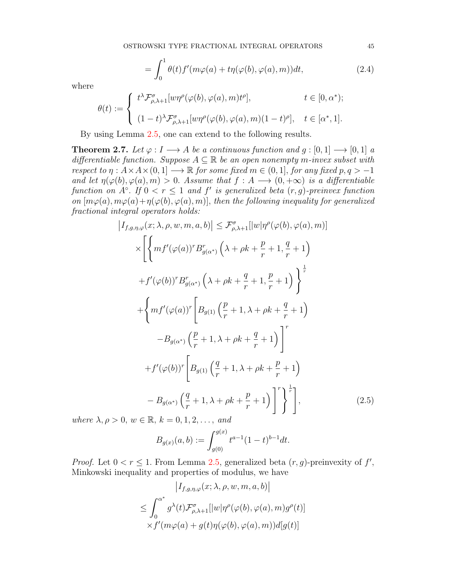$$
= \int_0^1 \theta(t) f'(m\varphi(a) + t\eta(\varphi(b), \varphi(a), m)) dt,
$$
\n(2.4)

where

$$
\theta(t) := \begin{cases} t^{\lambda} \mathcal{F}_{\rho,\lambda+1}^{\sigma} [w\eta^{\rho}(\varphi(b),\varphi(a),m)t^{\rho}], & t \in [0,\alpha^*); \\ (1-t)^{\lambda} \mathcal{F}_{\rho,\lambda+1}^{\sigma} [w\eta^{\rho}(\varphi(b),\varphi(a),m)(1-t)^{\rho}], & t \in [\alpha^*,1]. \end{cases}
$$

By using Lemma [2.5,](#page-4-0) one can extend to the following results.

<span id="page-6-0"></span>**Theorem 2.7.** Let  $\varphi: I \longrightarrow A$  be a continuous function and  $g: [0,1] \longrightarrow [0,1]$  a differentiable function. Suppose  $A \subseteq \mathbb{R}$  be an open nonempty m-invex subset with respect to  $\eta: A \times A \times (0,1] \longrightarrow \mathbb{R}$  for some fixed  $m \in (0,1]$ , for any fixed  $p, q > -1$ and let  $\eta(\varphi(b), \varphi(a), m) > 0$ . Assume that  $f : A \longrightarrow (0, +\infty)$  is a differentiable function on  $A^{\circ}$ . If  $0 < r \leq 1$  and  $f'$  is generalized beta  $(r, g)$ -preinvex function on  $[m\varphi(a), m\varphi(a)+\eta(\varphi(b), \varphi(a), m)]$ , then the following inequality for generalized fractional integral operators holds:

$$
\left| I_{f,g,\eta,\varphi}(x;\lambda,\rho,w,m,a,b) \right| \leq \mathcal{F}^{\sigma}_{\rho,\lambda+1}[\vert w \vert \eta^{\rho}(\varphi(b),\varphi(a),m)]
$$
  
\n
$$
\times \left[ \left\{ mf'(\varphi(a))^{r} B^{r}_{g(\alpha^{*})} \left( \lambda + \rho k + \frac{p}{r} + 1, \frac{q}{r} + 1 \right) \right\} \right]^{1}
$$
  
\n
$$
+ f'(\varphi(b))^{r} B^{r}_{g(\alpha^{*})} \left( \lambda + \rho k + \frac{q}{r} + 1, \frac{p}{r} + 1 \right) \right\}^{\frac{1}{r}}
$$
  
\n
$$
+ \left\{ mf'(\varphi(a))^{r} \left[ B_{g(1)} \left( \frac{p}{r} + 1, \lambda + \rho k + \frac{q}{r} + 1 \right) \right]^{r}
$$
  
\n
$$
- B_{g(\alpha^{*})} \left( \frac{p}{r} + 1, \lambda + \rho k + \frac{q}{r} + 1 \right) \right]^{r}
$$
  
\n
$$
+ f'(\varphi(b))^{r} \left[ B_{g(1)} \left( \frac{q}{r} + 1, \lambda + \rho k + \frac{p}{r} + 1 \right) \right]
$$
  
\n
$$
- B_{g(\alpha^{*})} \left( \frac{q}{r} + 1, \lambda + \rho k + \frac{p}{r} + 1 \right) \right]^{r} \Bigg\}^{\frac{1}{r}}
$$
  
\n(2.5)

where  $\lambda, \rho > 0$ ,  $w \in \mathbb{R}$ ,  $k = 0, 1, 2, \ldots$ , and

<span id="page-6-1"></span>
$$
B_{g(x)}(a,b) := \int_{g(0)}^{g(x)} t^{a-1} (1-t)^{b-1} dt.
$$

*Proof.* Let  $0 < r \leq 1$ . From Lemma [2.5,](#page-4-0) generalized beta  $(r, g)$ -preinvexity of f', Minkowski inequality and properties of modulus, we have

$$
\left| I_{f,g,\eta,\varphi}(x;\lambda,\rho,w,m,a,b) \right|
$$
  
\n
$$
\leq \int_0^{\alpha^*} g^{\lambda}(t) \mathcal{F}_{\rho,\lambda+1}^{\sigma} [|w|\eta^{\rho}(\varphi(b),\varphi(a),m)g^{\rho}(t)]
$$
  
\n
$$
\times f'(m\varphi(a) + g(t)\eta(\varphi(b),\varphi(a),m))d[g(t)]
$$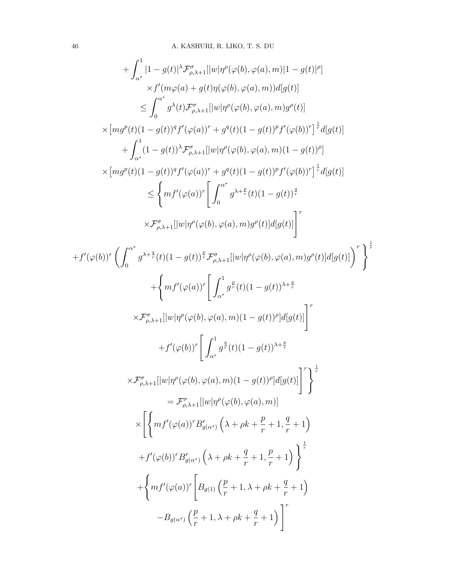$$
+ \int_{\alpha^{*}}^{1} [1 - g(t)]^{\lambda} \mathcal{F}_{\rho, \lambda + 1}^{\sigma} [ |w| \eta^{\rho}(\varphi(b), \varphi(a), m) | 1 - g(t)|^{\rho} ]
$$
  
\n
$$
\times f'(m\varphi(a) + g(t)\eta(\varphi(b), \varphi(a), m) d[g(t)]
$$
  
\n
$$
\leq \int_{0}^{\alpha^{*}} g^{\lambda}(t) \mathcal{F}_{\rho, \lambda + 1}^{\sigma} [ |w| \eta^{\rho}(\varphi(b), \varphi(a), m) g^{\rho}(t) ]
$$
  
\n
$$
\times [mg^{\rho}(t)(1 - g(t))^{q} f'(\varphi(a))^{r} + g^{q}(t)(1 - g(t))^{p} f'(\varphi(b))^{r}]^{\frac{1}{2}} d[g(t)]
$$
  
\n
$$
+ \int_{\alpha^{*}}^{1} (1 - g(t))^{\lambda} \mathcal{F}_{\rho, \lambda + 1}^{\sigma} [ |w| \eta^{\rho}(\varphi(b), \varphi(a), m) (1 - g(t))^{\rho} ]
$$
  
\n
$$
\times [mg^{\rho}(t)(1 - g(t))^{q} f'(\varphi(a))^{r} + g^{q}(t)(1 - g(t))^{p} f'(\varphi(b))^{r}]^{\frac{1}{2}} d[g(t)]
$$
  
\n
$$
\leq \left\{ mf^{\prime}(\varphi(a))^{r} \left[ \int_{0}^{\alpha^{*}} g^{\lambda + \frac{p}{2}}(t)(1 - g(t))^{\frac{q}{2}} f'(\varphi(b))^{r} \right]^{r} \right\}
$$
  
\n
$$
+ f'(\varphi(b))^{r} \left( \int_{0}^{\alpha^{*}} g^{\lambda + \frac{q}{2}}(t)(1 - g(t))^{\lambda + \frac{q}{2}} f'(\varphi(b), \varphi(a), m) g^{\rho}(t) ] d[g(t)] \right)^{r}
$$
  
\n
$$
+ f''(\varphi(b))^{r} \left[ \int_{\alpha^{*}}^{1} g^{\frac{p}{2}}(t)(1 - g(t))^{\lambda + \frac{q}{2}}
$$
  
\n
$$
\times \mathcal{F}_{\rho, \lambda + 1}^{\sigma} [ |w| \eta^{\rho}(\varphi(b), \varphi(a), m) (1 - g(t))^{\rho}] d[g(t)] \right]^{r}
$$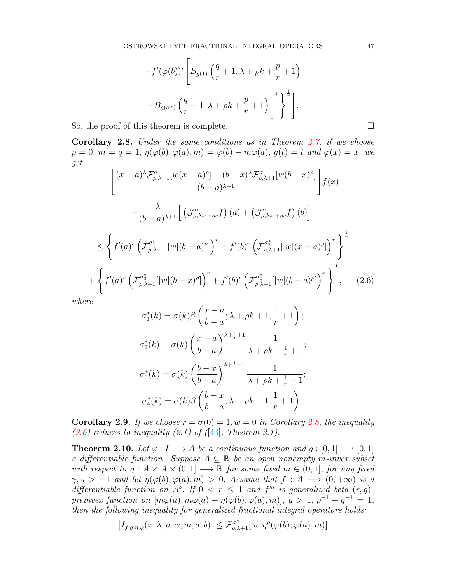$$
+f'(\varphi(b))^r \left[ B_{g(1)}\left(\frac{q}{r} + 1, \lambda + \rho k + \frac{p}{r} + 1\right) \right]
$$

$$
-B_{g(\alpha^*)} \left(\frac{q}{r} + 1, \lambda + \rho k + \frac{p}{r} + 1\right) \bigg]^r \bigg\}^{\frac{1}{r}}.
$$

So, the proof of this theorem is complete.  $\Box$ 

<span id="page-8-0"></span>Corollary 2.8. Under the same conditions as in Theorem [2.7,](#page-6-0) if we choose  $p = 0, m = q = 1, \eta(\varphi(b), \varphi(a), m) = \varphi(b) - m\varphi(a), g(t) = t \text{ and } \varphi(x) = x, \text{ we}$ get

$$
\left| \left[ \frac{(x-a)^{\lambda} \mathcal{F}_{\rho,\lambda+1}^{\sigma} [w(x-a)^{\rho}] + (b-x)^{\lambda} \mathcal{F}_{\rho,\lambda+1}^{\sigma} [w(b-x)^{\rho}]}{(b-a)^{\lambda+1}} \right] f(x) \right|
$$
  
 
$$
- \frac{\lambda}{(b-a)^{\lambda+1}} \left[ \left( \mathcal{J}_{\rho,\lambda,x-,w}^{\sigma} f \right) (a) + \left( \mathcal{J}_{\rho,\lambda,x+,w}^{\sigma} f \right) (b) \right] \right|
$$
  

$$
\leq \left\{ f'(a)^{r} \left( \mathcal{F}_{\rho,\lambda+1}^{\sigma_1^{*}} [|w|(b-a)^{\rho}] \right)^{r} + f'(b)^{r} \left( \mathcal{F}_{\rho,\lambda+1}^{\sigma_2^{*}} [|w|(x-a)^{\rho}] \right)^{r} \right\}^{\frac{1}{r}}
$$
  
+
$$
\left\{ f'(a)^{r} \left( \mathcal{F}_{\rho,\lambda+1}^{\sigma_3^{*}} [|w|(b-x)^{\rho}] \right)^{r} + f'(b)^{r} \left( \mathcal{F}_{\rho,\lambda+1}^{\sigma_4^{*}} [|w|(b-a)^{\rho}] \right)^{r} \right\}^{\frac{1}{r}}, \quad (2.6)
$$

<span id="page-8-1"></span>where

$$
\sigma_1^*(k) = \sigma(k)\beta\left(\frac{x-a}{b-a}; \lambda + \rho k + 1, \frac{1}{r} + 1\right);
$$
  

$$
\sigma_2^*(k) = \sigma(k)\left(\frac{x-a}{b-a}\right)^{\lambda + \frac{1}{r} + 1} \frac{1}{\lambda + \rho k + \frac{1}{r} + 1};
$$
  

$$
\sigma_3^*(k) = \sigma(k)\left(\frac{b-x}{b-a}\right)^{\lambda + \frac{1}{r} + 1} \frac{1}{\lambda + \rho k + \frac{1}{r} + 1};
$$
  

$$
\sigma_4^*(k) = \sigma(k)\beta\left(\frac{b-x}{b-a}; \lambda + \rho k + 1, \frac{1}{r} + 1\right).
$$

**Corollary 2.9.** If we choose  $r = \sigma(0) = 1, w = 0$  in Corollary [2.8,](#page-8-0) the inequality  $(2.6)$  reduces to inequality  $(2.1)$  of  $(1.3)$ , Theorem 2.1).

<span id="page-8-2"></span>**Theorem 2.10.** Let  $\varphi: I \longrightarrow A$  be a continuous function and  $g: [0,1] \longrightarrow [0,1]$ a differentiable function. Suppose  $A \subseteq \mathbb{R}$  be an open nonempty m-invex subset with respect to  $\eta : A \times A \times (0,1] \longrightarrow \mathbb{R}$  for some fixed  $m \in (0,1]$ , for any fixed  $\gamma, s > -1$  and let  $\eta(\varphi(b), \varphi(a), m) > 0$ . Assume that  $f : A \longrightarrow (0, +\infty)$  is a differentiable function on  $A^{\circ}$ . If  $0 < r \leq 1$  and  $f'^{q}$  is generalized beta  $(r, g)$ preinvex function on  $[m\varphi(a), m\varphi(a) + \eta(\varphi(b), \varphi(a), m)]$ ,  $q > 1$ ,  $p^{-1} + q^{-1} = 1$ , then the following inequality for generalized fractional integral operators holds:

$$
\left|I_{f,g,\eta,\varphi}(x;\lambda,\rho,w,m,a,b)\right|\leq \mathcal{F}^{\sigma^*}_{\rho,\lambda+1}[|w|\eta^\rho(\varphi(b),\varphi(a),m)]
$$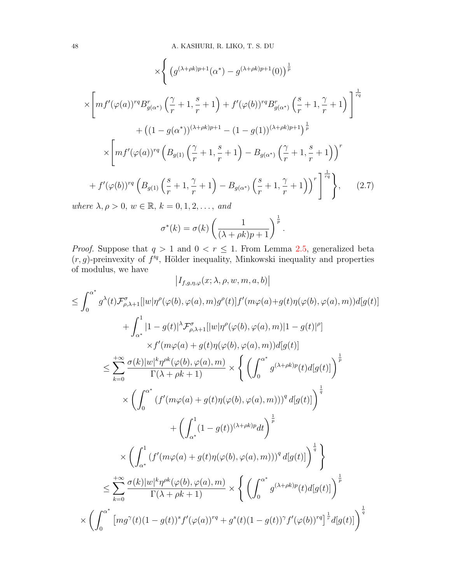$$
\times \Bigg\{ \left( g^{(\lambda+\rho k)p+1}(\alpha^*) - g^{(\lambda+\rho k)p+1}(0) \right)^{\frac{1}{p}} \times \Bigg[ mf'(\varphi(a))^{rq} B_{g(\alpha^*)}^r \left( \frac{\gamma}{r} + 1, \frac{s}{r} + 1 \right) + f'(\varphi(b))^{rq} B_{g(\alpha^*)}^r \left( \frac{s}{r} + 1, \frac{\gamma}{r} + 1 \right) \Bigg]^\frac{1}{rq} + \left( (1 - g(\alpha^*))^{(\lambda+\rho k)p+1} - (1 - g(1))^{(\lambda+\rho k)p+1} \right)^{\frac{1}{p}} \times \Bigg[ mf'(\varphi(a))^{rq} \left( B_{g(1)} \left( \frac{\gamma}{r} + 1, \frac{s}{r} + 1 \right) - B_{g(\alpha^*)} \left( \frac{\gamma}{r} + 1, \frac{s}{r} + 1 \right) \right)^r + f'(\varphi(b))^{rq} \left( B_{g(1)} \left( \frac{s}{r} + 1, \frac{\gamma}{r} + 1 \right) - B_{g(\alpha^*)} \left( \frac{s}{r} + 1, \frac{\gamma}{r} + 1 \right) \right)^r \Bigg]^\frac{1}{rq} \Bigg\}, \qquad (2.7)
$$

<span id="page-9-0"></span>where  $\lambda, \rho > 0$ ,  $w \in \mathbb{R}$ ,  $k = 0, 1, 2, \ldots$ , and

$$
\sigma^*(k) = \sigma(k) \left( \frac{1}{(\lambda + \rho k)p + 1} \right)^{\frac{1}{p}}.
$$

*Proof.* Suppose that  $q > 1$  and  $0 < r \le 1$ . From Lemma [2.5,](#page-4-0) generalized beta  $(r, g)$ -preinvexity of  $f'^q$ , Hölder inequality, Minkowski inequality and properties of modulus, we have  $\overline{1}$ 

$$
|I_{f,g,\eta,\varphi}(x;\lambda,\rho,w,m,a,b)|
$$
  
\n
$$
\leq \int_{0}^{\alpha^{*}} g^{\lambda}(t) \mathcal{F}_{\rho,\lambda+1}^{\sigma} [|w|\eta^{\rho}(\varphi(b),\varphi(a),m)g^{\rho}(t)] f'(m\varphi(a)+g(t)\eta(\varphi(b),\varphi(a),m))d[g(t)]
$$
  
\n
$$
+ \int_{\alpha^{*}}^{1} |1-g(t)|^{\lambda} \mathcal{F}_{\rho,\lambda+1}^{\sigma} [|w|\eta^{\rho}(\varphi(b),\varphi(a),m)|1-g(t)|^{\rho}]
$$
  
\n
$$
\times f'(m\varphi(a)+g(t)\eta(\varphi(b),\varphi(a),m))d[g(t)]
$$
  
\n
$$
\leq \sum_{k=0}^{+\infty} \frac{\sigma(k)|w|^{k}\eta^{\rho k}(\varphi(b),\varphi(a),m)}{\Gamma(\lambda+\rho k+1)} \times \left\{ \left( \int_{0}^{\alpha^{*}} g^{(\lambda+\rho k)p}(t) d[g(t)] \right)^{\frac{1}{p}}
$$
  
\n
$$
\times \left( \int_{0}^{\alpha^{*}} (f'(m\varphi(a)+g(t)\eta(\varphi(b),\varphi(a),m)))^{q} d[g(t)] \right)^{\frac{1}{q}}
$$
  
\n
$$
+ \left( \int_{\alpha^{*}}^{1} (1-g(t))^{(\lambda+\rho k)p} dt \right)^{\frac{1}{p}}
$$
  
\n
$$
\leq \sum_{k=0}^{+\infty} \frac{\sigma(k)|w|^{k}\eta^{\rho k}(\varphi(b),\varphi(a),m)}{\Gamma(\lambda+\rho k+1)} \times \left\{ \left( \int_{0}^{\alpha^{*}} g^{(\lambda+\rho k)p}(t) d[g(t)] \right)^{\frac{1}{p}}
$$
  
\n
$$
\times \left( \int_{0}^{\alpha^{*}} [mg^{\gamma}(t)(1-g(t))^{s} f'(\varphi(a))^{rq} + g^{s}(t)(1-g(t))^{\gamma} f'(\varphi(b))^{rq} \right]^{\frac{1}{r}} d[g(t)] \right)^{\frac{1}{q}}
$$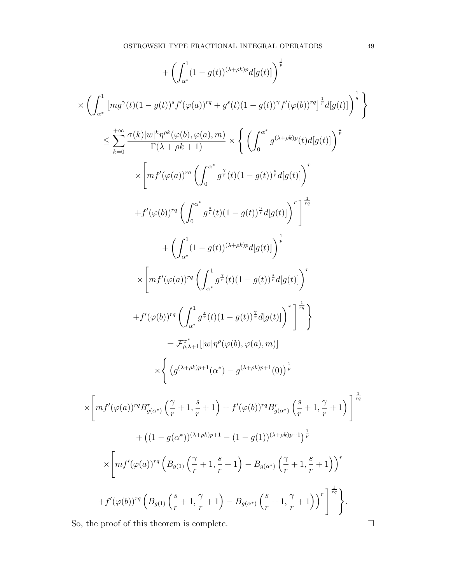$$
+ \left(\int_{\alpha^*}^1 (1-g(t))^{(\lambda+\rho k)p} d[g(t)] \right)^{\frac{1}{p}}
$$
  
\n
$$
\times \left( \int_{\alpha^*}^1 \left[ mg^{\gamma}(t) (1-g(t))^s f'(\varphi(a))^{rq} + g^s(t) (1-g(t))^{\gamma} f'(\varphi(b))^{rq} \right]^{\frac{1}{r}} d[g(t)] \right)^{\frac{1}{q}}
$$
  
\n
$$
\leq \sum_{k=0}^{+\infty} \frac{\sigma(k)|w|^k \eta^{\rho k}(\varphi(b), \varphi(a), m)}{\Gamma(\lambda + \rho k + 1)} \times \left\{ \left( \int_0^{\alpha^*} g^{(\lambda + \rho k)p}(t) d[g(t)] \right)^{\frac{1}{p}}
$$
  
\n
$$
+ f'(\varphi(b))^{rq} \left( \int_0^{\alpha^*} g^{\frac{2}{r}}(t) (1-g(t))^{\frac{2}{r}} d[g(t)] \right)^r \right] +
$$
  
\n
$$
+ \left( \int_{\alpha^*}^1 (1-g(t))^{(\lambda+\rho k)p} d[g(t)] \right)^{\frac{1}{p}}
$$
  
\n
$$
\times \left[ mf'(\varphi(a))^{rq} \left( \int_{\alpha^*}^1 g^{\frac{2}{r}}(t) (1-g(t))^{\frac{s}{r}} d[g(t)] \right)^r \right]
$$
  
\n
$$
+ f'(\varphi(b))^{rq} \left( \int_{\alpha^*}^1 g^{\frac{s}{r}}(t) (1-g(t))^{\frac{s}{r}} d[g(t)] \right)^r \right]^{\frac{1}{rq}}
$$
  
\n
$$
= F_{\rho,\lambda+1}^{\rho,\gamma}[\|w|\eta^{\rho}(\varphi(b), \varphi(a), m)]
$$
  
\n
$$
\times \left\{ (g^{(\lambda+\rho k)p+1}(\alpha^*) - g^{(\lambda+\rho k)p+1}(0)) \right\}^{\frac{1}{p}}
$$
  
\n
$$
\times \left[ mf'(\varphi(a))^{rq} B_{g(\alpha^*)}^r \left( \frac{\gamma}{r} + 1, \frac{s}{r} + 1 \right) + f'(\varphi(b))^r g_{g(\alpha^*)}^r \left( \frac{s}{r} + 1, \frac{\gamma}{r} + 1 \right) \right]^{\frac{1}{r}}
$$
  
\n
$$
+ ((1 -
$$

So, the proof of this theorem is complete.  $\hfill \square$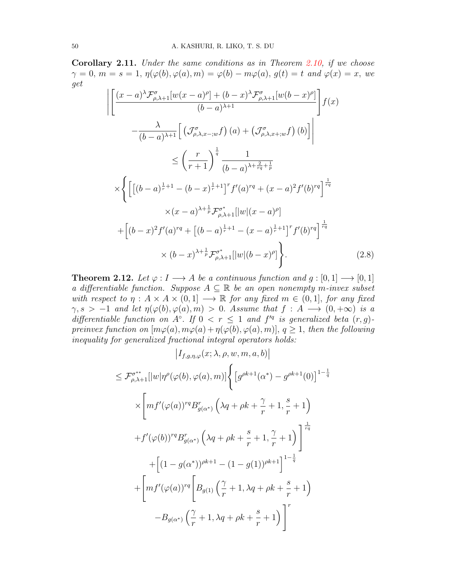Corollary 2.11. Under the same conditions as in Theorem [2.10,](#page-8-2) if we choose  $\gamma = 0$ ,  $m = s = 1$ ,  $\eta(\varphi(b), \varphi(a), m) = \varphi(b) - m\varphi(a)$ ,  $g(t) = t$  and  $\varphi(x) = x$ , we get

$$
\left| \left[ \frac{(x-a)^{\lambda} \mathcal{F}_{\rho,\lambda+1}^{\sigma} [w(x-a)^{\rho}] + (b-x)^{\lambda} \mathcal{F}_{\rho,\lambda+1}^{\sigma} [w(b-x)^{\rho}]}{(b-a)^{\lambda+1}} \right] f(x) \right|
$$
  

$$
- \frac{\lambda}{(b-a)^{\lambda+1}} \left[ \left( \mathcal{J}_{\rho,\lambda,x-,w}^{\sigma} f \right) (a) + \left( \mathcal{J}_{\rho,\lambda,x+,w}^{\sigma} f \right) (b) \right] \right|
$$
  

$$
\leq \left( \frac{r}{r+1} \right)^{\frac{1}{q}} \frac{1}{(b-a)^{\lambda + \frac{2}{rq} + \frac{1}{p}}}
$$
  

$$
\times \left\{ \left[ \left[ (b-a)^{\frac{1}{r}+1} - (b-x)^{\frac{1}{r}+1} \right]^{r} f'(a)^{rq} + (x-a)^{2} f'(b)^{rq} \right]^{\frac{1}{rq}}
$$
  

$$
\times (x-a)^{\lambda + \frac{1}{p}} \mathcal{F}_{\rho,\lambda+1}^{\sigma^{*}} \left[ |w|(x-a)^{\rho} \right]
$$
  

$$
+ \left[ (b-x)^{2} f'(a)^{rq} + \left[ (b-a)^{\frac{1}{r}+1} - (x-a)^{\frac{1}{r}+1} \right]^{r} f'(b)^{rq} \right]^{\frac{1}{rq}}
$$
  

$$
\times (b-x)^{\lambda + \frac{1}{p}} \mathcal{F}_{\rho,\lambda+1}^{\sigma^{*}} \left[ |w|(b-x)^{\rho} \right]. \tag{2.8}
$$

<span id="page-11-0"></span>**Theorem 2.12.** Let  $\varphi: I \longrightarrow A$  be a continuous function and  $g: [0,1] \longrightarrow [0,1]$ a differentiable function. Suppose  $A \subseteq \mathbb{R}$  be an open nonempty m-invex subset with respect to  $\eta : A \times A \times (0,1] \longrightarrow \mathbb{R}$  for any fixed  $m \in (0,1]$ , for any fixed  $\gamma, s > -1$  and let  $\eta(\varphi(b), \varphi(a), m) > 0$ . Assume that  $f : A \longrightarrow (0, +\infty)$  is a differentiable function on  $A^{\circ}$ . If  $0 < r \leq 1$  and  $f'^{q}$  is generalized beta  $(r, g)$ preinvex function on  $[m\varphi(a), m\varphi(a) + \eta(\varphi(b), \varphi(a), m)]$ ,  $q \ge 1$ , then the following inequality for generalized fractional integral operators holds:

$$
\begin{aligned}\n&|I_{f,g,\eta,\varphi}(x;\lambda,\rho,w,m,a,b)| \\
&\leq \mathcal{F}_{\rho,\lambda+1}^{\sigma^{**}}[|w|\eta^{\rho}(\varphi(b),\varphi(a),m)] \Big\{ \left[g^{\rho k+1}(\alpha^{*})-g^{\rho k+1}(0)\right]^{1-\frac{1}{q}} \\
&\times \Bigg[ mf'(\varphi(a))^{rq} B_{g(\alpha^{*})}^{r} \left(\lambda q + \rho k + \frac{\gamma}{r} + 1, \frac{s}{r} + 1\right) \\
&+ f'(\varphi(b))^{rq} B_{g(\alpha^{*})}^{r} \left(\lambda q + \rho k + \frac{s}{r} + 1, \frac{\gamma}{r} + 1\right) \Bigg]^{\frac{1}{rq}} \\
&+ \Bigg[ (1 - g(\alpha^{*}))^{\rho k+1} - (1 - g(1))^{\rho k+1} \Bigg]^{1-\frac{1}{q}} \\
&+ \Bigg[ mf'(\varphi(a))^{rq} \Bigg[ B_{g(1)} \left(\frac{\gamma}{r} + 1, \lambda q + \rho k + \frac{s}{r} + 1\right) \\
&- B_{g(\alpha^{*})} \left(\frac{\gamma}{r} + 1, \lambda q + \rho k + \frac{s}{r} + 1\right) \Bigg]^{r}\n\end{aligned}
$$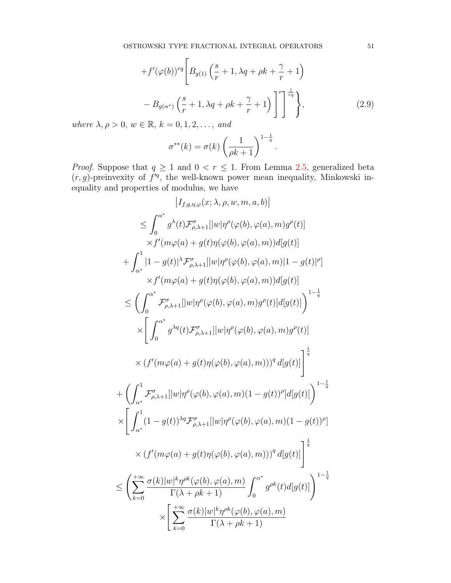<span id="page-12-0"></span>
$$
+f'(\varphi(b))^{rq} \left[ B_{g(1)}\left(\frac{s}{r} + 1, \lambda q + \rho k + \frac{\gamma}{r} + 1\right) - B_{g(\alpha^*)}\left(\frac{s}{r} + 1, \lambda q + \rho k + \frac{\gamma}{r} + 1\right) \right]^{r} \right]^{1}{\tau q}
$$
\n
$$
= \mathbb{E} \left[ \left( \frac{s}{r} + 1, \lambda q + \rho k + \frac{\gamma}{r} + 1 \right) \right]^{r} \left[ \left( \frac{s}{r} + 1, \frac{\gamma}{r} + 1 \right) \right]^{r} \left( \frac{s}{r} + 1, \frac{\gamma}{r} + 1 \right) \left( \frac{s}{r} + 1, \frac{\gamma}{r} + 1 \right) \left( \frac{s}{r} + 1, \frac{\gamma}{r} + 1 \right) \left( \frac{s}{r} + 1, \frac{\gamma}{r} + 1 \right) \left( \frac{s}{r} + 1, \frac{\gamma}{r} + 1 \right) \left( \frac{s}{r} + 1, \frac{\gamma}{r} + 1 \right) \left( \frac{s}{r} + 1, \frac{\gamma}{r} + 1 \right) \left( \frac{s}{r} + 1, \frac{\gamma}{r} + 1 \right) \left( \frac{s}{r} + 1, \frac{\gamma}{r} + 1 \right) \left( \frac{s}{r} + 1, \frac{\gamma}{r} + 1 \right) \left( \frac{s}{r} + 1, \frac{\gamma}{r} + 1 \right) \left( \frac{s}{r} + 1, \frac{\gamma}{r} + 1 \right) \left( \frac{s}{r} + 1, \frac{\gamma}{r} + 1 \right) \left( \frac{s}{r} + 1, \frac{\gamma}{r} + 1 \right) \left( \frac{s}{r} + 1, \frac{\gamma}{r} + 1 \right) \left( \frac{s}{r} + 1, \frac{\gamma}{r} + 1 \right) \left( \frac{s}{r} + 1, \frac{\gamma}{r} + 1 \right) \left( \frac{s}{r} + 1, \frac{\gamma}{r} + 1 \right) \left( \frac{s}{r} + 1, \frac{\gamma}{r} + 1 \right) \left( \frac{s}{r} + 1, \frac{\gamma}{r} + 1 \right) \left( \frac{s}{r} + 1, \frac{\gamma}{r} + 1 \right) \left( \frac{s}{r}
$$

where  $\lambda, \rho > 0$ ,  $w \in \mathbb{R}$ ,  $k = 0, 1, 2, \ldots$ , and

$$
\sigma^{**}(k) = \sigma(k) \left(\frac{1}{\rho k + 1}\right)^{1 - \frac{1}{q}}.
$$

*Proof.* Suppose that  $q \ge 1$  and  $0 < r \le 1$ . From Lemma [2.5,](#page-4-0) generalized beta  $(r, g)$ -preinvexity of  $f'^q$ , the well-known power mean inequality, Minkowski inequality and properties of modulus, we have

$$
|I_{f,g,\eta,\varphi}(x;\lambda,\rho,w,m,a,b)|
$$
  
\n
$$
\leq \int_0^{\alpha^*} g^{\lambda}(t) \mathcal{F}_{\rho,\lambda+1}^{\sigma} [|w|\eta^{\rho}(\varphi(b),\varphi(a),m) g^{\rho}(t)]
$$
  
\n
$$
\times f'(m\varphi(a) + g(t)\eta(\varphi(b),\varphi(a),m))d[g(t)]
$$
  
\n
$$
+ \int_{\alpha^*}^1 |1-g(t)|^{\lambda} \mathcal{F}_{\rho,\lambda+1}^{\sigma} [|w|\eta^{\rho}(\varphi(b),\varphi(a),m)|1-g(t)|^{\rho}]
$$
  
\n
$$
\times f'(m\varphi(a) + g(t)\eta(\varphi(b),\varphi(a),m))d[g(t)]
$$
  
\n
$$
\leq \left(\int_0^{\alpha^*} \mathcal{F}_{\rho,\lambda+1}^{\sigma} [|w|\eta^{\rho}(\varphi(b),\varphi(a),m) g^{\rho}(t)]d[g(t)]\right)^{1-\frac{1}{q}}
$$
  
\n
$$
\times \left[\int_0^{\alpha^*} g^{\lambda q}(t) \mathcal{F}_{\rho,\lambda+1}^{\sigma} [|w|\eta^{\rho}(\varphi(b),\varphi(a),m) g^{\rho}(t)]\right]^{\frac{1}{q}}
$$
  
\n
$$
\times (f'(m\varphi(a) + g(t)\eta(\varphi(b),\varphi(a),m)))^q d[g(t)]\right]^{\frac{1}{q}}
$$
  
\n
$$
+ \left(\int_{\alpha^*}^1 \mathcal{F}_{\rho,\lambda+1}^{\sigma} [|w|\eta^{\rho}(\varphi(b),\varphi(a),m)(1-g(t))^{\rho}]d[g(t)]\right)^{1-\frac{1}{q}}
$$
  
\n
$$
\times \left[\int_{\alpha^*}^1 (1-g(t))^{\lambda q} \mathcal{F}_{\rho,\lambda+1}^{\sigma} [|w|\eta^{\rho}(\varphi(b),\varphi(a),m))(1-g(t))^{\rho}] \right]^{\frac{1}{q}}
$$
  
\n
$$
\times (f'(m\varphi(a) + g(t)\eta(\varphi(b),\varphi(a),m)))^q d[g(t)]\right]^{\frac{1}{q}}
$$
  
\n
$$
\times \left[\sum_{k=0}^{+\infty} \frac{\sigma(k)|w|^k \eta^{\rho k}(\varphi(b),\varphi(a
$$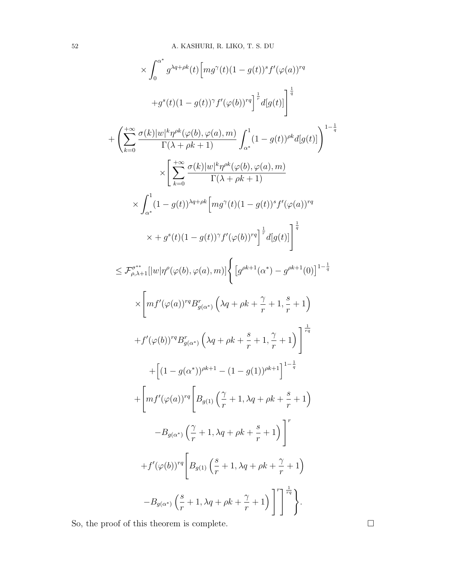$$
\times \int_{0}^{\alpha^{*}} g^{\lambda q + \rho k}(t) \left[ mg^{\gamma}(t) (1 - g(t))^{s} f'(\varphi(a))^{rq} \right. \n+ g^{s}(t) (1 - g(t))^{\gamma} f'(\varphi(b))^{rq} \Big]^{\frac{1}{r}} d[g(t)] \Big]^{\frac{1}{q}} \n+ \left( \sum_{k=0}^{+\infty} \frac{\sigma(k) |w|^{k} \eta^{\rho k}(\varphi(b), \varphi(a), m)}{\Gamma(\lambda + \rho k + 1)} \int_{\alpha^{*}}^{1} (1 - g(t))^{\rho k} d[g(t)] \right)^{1 - \frac{1}{q}} \n\times \left[ \sum_{k=0}^{+\infty} \frac{\sigma(k) |w|^{k} \eta^{\rho k}(\varphi(b), \varphi(a), m)}{\Gamma(\lambda + \rho k + 1)} \right. \n\times \int_{\alpha^{*}}^{1} (1 - g(t))^{\lambda_{q} + \rho k} \Big[ mg^{\gamma}(t) (1 - g(t))^{s} f'(\varphi(a))^{rq} \right. \n\times + g^{s}(t) (1 - g(t))^{\gamma} f'(\varphi(b))^{rq} \Big]^{\frac{1}{r}} d[g(t)] \Big]^{\frac{1}{q}} \n\leq \mathcal{F}_{\rho, \lambda+1}^{\sigma^{*+}} \Big[ |w| \eta^{\rho}(\varphi(b), \varphi(a), m) \Big\{ \Big[ g^{\rho k+1}(\alpha^{*}) - g^{\rho k+1}(0) \Big]^{1 - \frac{1}{q}} \n\times \Big[ mf'(\varphi(a))^{rq} B^{r}_{g(\alpha^{*})} \Big( \lambda q + \rho k + \frac{\gamma}{r} + 1, \frac{s}{r} + 1 \Big) \n+ f'(\varphi(b))^{rq} B^{r}_{g(\alpha^{*})} \Big( \lambda q + \rho k + \frac{s}{r} + 1, \frac{\gamma}{r} + 1 \Big) \Big]^{\frac{1}{r_{q}}} \n+ \Big[ (1 - g(\alpha^{*}))^{\rho k+1} - (1 - g(1))^{\rho k+1} \Big]^{1 - \frac{1}{q}} \n+ \Big[ mf'(\varphi(a))^{rq} \Big[ B_{g(1)} \Big( \frac{\gamma}{r} + 1, \lambda q + \rho k + \frac{s}{r} + 1 \Big) \Big]^{r} \n- B_{
$$

So, the proof of this theorem is complete.  $\hfill \Box$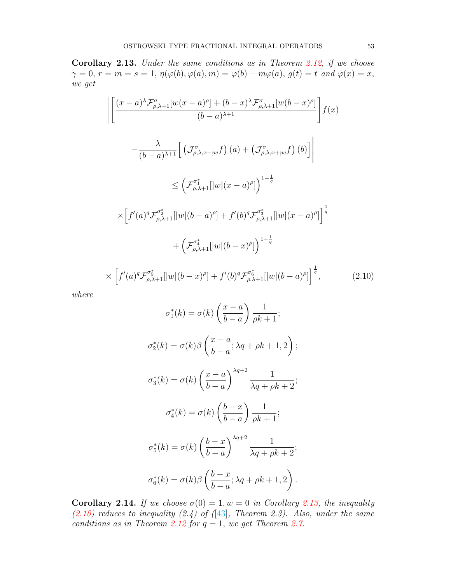<span id="page-14-0"></span>Corollary 2.13. Under the same conditions as in Theorem [2.12,](#page-11-0) if we choose  $\gamma = 0, r = m = s = 1, \eta(\varphi(b), \varphi(a), m) = \varphi(b) - m\varphi(a), g(t) = t \text{ and } \varphi(x) = x,$ we get

$$
\left| \left[ \frac{(x-a)^{\lambda} \mathcal{F}_{\rho,\lambda+1}^{\sigma} [w(x-a)^{\rho}] + (b-x)^{\lambda} \mathcal{F}_{\rho,\lambda+1}^{\sigma} [w(b-x)^{\rho}]}{(b-a)^{\lambda+1}} \right] f(x) \right|
$$
  

$$
- \frac{\lambda}{(b-a)^{\lambda+1}} \left[ \left( \mathcal{J}_{\rho,\lambda,x-;w}^{\sigma} f \right) (a) + \left( \mathcal{J}_{\rho,\lambda,x+;w}^{\sigma} f \right) (b) \right] \right|
$$
  

$$
\leq \left( \mathcal{F}_{\rho,\lambda+1}^{\sigma_1^*} [|w|(x-a)^{\rho}] \right)^{1-\frac{1}{q}}
$$
  

$$
\times \left[ f'(a)^q \mathcal{F}_{\rho,\lambda+1}^{\sigma_2^*} [|w|(b-a)^{\rho}] + f'(b)^q \mathcal{F}_{\rho,\lambda+1}^{\sigma_3^*} [|w|(x-a)^{\rho}] \right]^{\frac{1}{q}}
$$
  

$$
+ \left( \mathcal{F}_{\rho,\lambda+1}^{\sigma_4^*} [|w|(b-x)^{\rho}] \right)^{1-\frac{1}{q}}
$$
  

$$
\times \left[ f'(a)^q \mathcal{F}_{\rho,\lambda+1}^{\sigma_5^*} [|w|(b-x)^{\rho}] + f'(b)^q \mathcal{F}_{\rho,\lambda+1}^{\sigma_6^*} [|w|(b-a)^{\rho}] \right]^{\frac{1}{q}}, \qquad (2.10)
$$

<span id="page-14-1"></span>where

$$
\sigma_1^*(k) = \sigma(k) \left(\frac{x-a}{b-a}\right) \frac{1}{\rho k + 1};
$$
  
\n
$$
\sigma_2^*(k) = \sigma(k) \beta \left(\frac{x-a}{b-a}; \lambda q + \rho k + 1, 2\right);
$$
  
\n
$$
\sigma_3^*(k) = \sigma(k) \left(\frac{x-a}{b-a}\right)^{\lambda q+2} \frac{1}{\lambda q + \rho k + 2};
$$
  
\n
$$
\sigma_4^*(k) = \sigma(k) \left(\frac{b-x}{b-a}\right) \frac{1}{\rho k + 1};
$$
  
\n
$$
\sigma_5^*(k) = \sigma(k) \left(\frac{b-x}{b-a}\right)^{\lambda q+2} \frac{1}{\lambda q + \rho k + 2};
$$
  
\n
$$
\sigma_6^*(k) = \sigma(k) \beta \left(\frac{b-x}{b-a}; \lambda q + \rho k + 1, 2\right).
$$

Corollary 2.14. If we choose  $\sigma(0) = 1, w = 0$  in Corollary [2.13,](#page-14-0) the inequality  $(2.10)$  reduces to inequality  $(2.4)$  of  $(1.43)$ , Theorem 2.3). Also, under the same conditions as in Theorem [2.12](#page-11-0) for  $q = 1$ , we get Theorem [2.7.](#page-6-0)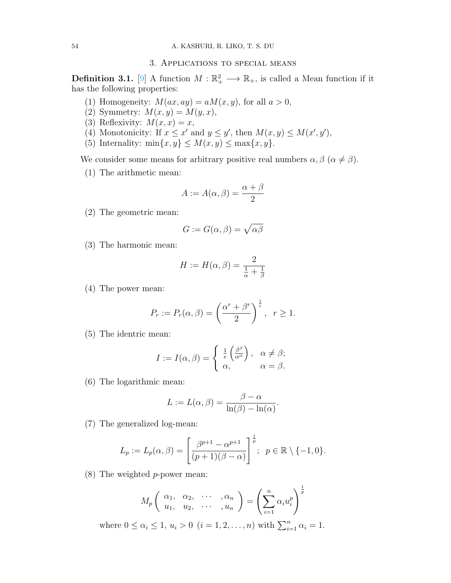#### 3. Applications to special means

<span id="page-15-0"></span>**Definition 3.1.** [\[9\]](#page-18-17) A function  $M : \mathbb{R}^2_+ \longrightarrow \mathbb{R}_+$ , is called a Mean function if it has the following properties:

- (1) Homogeneity:  $M(ax, ay) = aM(x, y)$ , for all  $a > 0$ ,
- (2) Symmetry:  $M(x, y) = M(y, x),$
- (3) Reflexivity:  $M(x, x) = x$ ,
- (4) Monotonicity: If  $x \leq x'$  and  $y \leq y'$ , then  $M(x, y) \leq M(x', y')$ ,
- (5) Internality:  $\min\{x, y\} \leq M(x, y) \leq \max\{x, y\}.$

We consider some means for arbitrary positive real numbers  $\alpha, \beta$  ( $\alpha \neq \beta$ ).

(1) The arithmetic mean:

$$
A := A(\alpha, \beta) = \frac{\alpha + \beta}{2}
$$

(2) The geometric mean:

$$
G := G(\alpha, \beta) = \sqrt{\alpha \beta}
$$

(3) The harmonic mean:

$$
H := H(\alpha, \beta) = \frac{2}{\frac{1}{\alpha} + \frac{1}{\beta}}
$$

(4) The power mean:

$$
P_r := P_r(\alpha, \beta) = \left(\frac{\alpha^r + \beta^r}{2}\right)^{\frac{1}{r}}, \ \ r \ge 1.
$$

(5) The identric mean:

$$
I := I(\alpha, \beta) = \begin{cases} \frac{1}{e} \left( \frac{\beta^{\beta}}{\alpha^{\alpha}} \right), & \alpha \neq \beta; \\ \alpha, & \alpha = \beta. \end{cases}
$$

(6) The logarithmic mean:

$$
L := L(\alpha, \beta) = \frac{\beta - \alpha}{\ln(\beta) - \ln(\alpha)}.
$$

(7) The generalized log-mean:

$$
L_p := L_p(\alpha, \beta) = \left[\frac{\beta^{p+1} - \alpha^{p+1}}{(p+1)(\beta - \alpha)}\right]^{\frac{1}{p}}; \quad p \in \mathbb{R} \setminus \{-1, 0\}.
$$

(8) The weighted p-power mean:

$$
M_p\left(\begin{array}{cccc} \alpha_1, & \alpha_2, & \cdots & \alpha_n \\ u_1, & u_2, & \cdots & \alpha_n \end{array}\right) = \left(\sum_{i=1}^n \alpha_i u_i^p\right)^{\frac{1}{p}}
$$

where  $0 \le \alpha_i \le 1$ ,  $u_i > 0$   $(i = 1, 2, ..., n)$  with  $\sum_{i=1}^{n} \alpha_i = 1$ .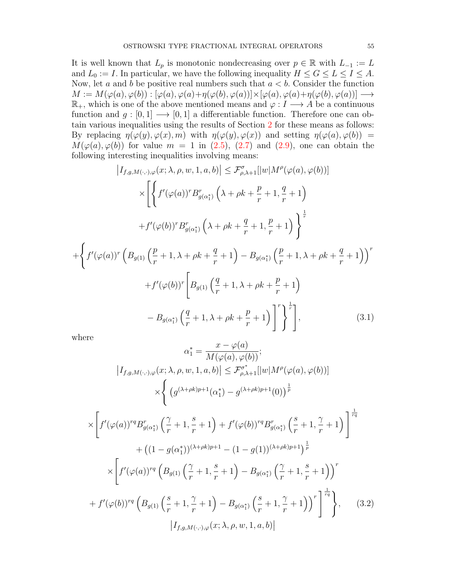It is well known that  $L_p$  is monotonic nondecreasing over  $p \in \mathbb{R}$  with  $L_{-1} := L$ and  $L_0 := I$ . In particular, we have the following inequality  $H \le G \le L \le I \le A$ . Now, let a and b be positive real numbers such that  $a < b$ . Consider the function  $M := M(\varphi(a), \varphi(b)) : [\varphi(a), \varphi(a) + \eta(\varphi(b), \varphi(a))] \times [\varphi(a), \varphi(a) + \eta(\varphi(b), \varphi(a))] \longrightarrow$  $\mathbb{R}_+$ , which is one of the above mentioned means and  $\varphi: I \longrightarrow A$  be a continuous function and  $g : [0,1] \longrightarrow [0,1]$  a differentiable function. Therefore one can obtain various inequalities using the results of Section [2](#page-3-0) for these means as follows: By replacing  $\eta(\varphi(y), \varphi(x), m)$  with  $\eta(\varphi(y), \varphi(x))$  and setting  $\eta(\varphi(a), \varphi(b)) =$  $M(\varphi(a), \varphi(b))$  for value  $m = 1$  in [\(2.5\)](#page-6-1), [\(2.7\)](#page-9-0) and [\(2.9\)](#page-12-0), one can obtain the following interesting inequalities involving means:

$$
\left| I_{f,g,M(\cdot,\cdot),\varphi}(x;\lambda,\rho,w,1,a,b) \right| \leq \mathcal{F}^{\sigma}_{\rho,\lambda+1}[\vert w \vert M^{\rho}(\varphi(a),\varphi(b))]
$$

$$
\times \left[ \left\{ f'(\varphi(a))^{r} B^{r}_{g(\alpha_{1}^{*})} \left( \lambda + \rho k + \frac{p}{r} + 1, \frac{q}{r} + 1 \right) + f'(\varphi(b))^{r} B^{r}_{g(\alpha_{1}^{*})} \left( \lambda + \rho k + \frac{q}{r} + 1, \frac{p}{r} + 1 \right) \right\}^{\frac{1}{r}}
$$

$$
+ \left\{ f'(\varphi(a))^{r} \left( B_{g(1)} \left( \frac{p}{r} + 1, \lambda + \rho k + \frac{q}{r} + 1 \right) - B_{g(\alpha_{1}^{*})} \left( \frac{p}{r} + 1, \lambda + \rho k + \frac{q}{r} + 1 \right) \right)^{r} + f'(\varphi(b))^{r} \left[ B_{g(1)} \left( \frac{q}{r} + 1, \lambda + \rho k + \frac{p}{r} + 1 \right) - B_{g(\alpha_{1}^{*})} \left( \frac{q}{r} + 1, \lambda + \rho k + \frac{p}{r} + 1 \right) \right]^{r} \right\}^{\frac{1}{r}} \right], \tag{3.1}
$$

where

<span id="page-16-1"></span><span id="page-16-0"></span>
$$
\alpha_{1}^{*} = \frac{x - \varphi(a)}{M(\varphi(a), \varphi(b))};
$$
\n
$$
|I_{f,g,M(\cdot,\cdot),\varphi}(x;\lambda,\rho,w,1,a,b)| \leq \mathcal{F}_{\rho,\lambda+1}^{\sigma^{*}}[|w|M^{\rho}(\varphi(a),\varphi(b))]
$$
\n
$$
\times \left\{ \left( g^{(\lambda+\rho k)p+1}(\alpha_{1}^{*}) - g^{(\lambda+\rho k)p+1}(0) \right)^{\frac{1}{p}} \right\}
$$
\n
$$
\times \left[ f'(\varphi(a))^{rq} B_{g(\alpha_{1}^{*})}^{r} \left( \frac{\gamma}{r} + 1, \frac{s}{r} + 1 \right) + f'(\varphi(b))^{rq} B_{g(\alpha_{1}^{*})}^{r} \left( \frac{s}{r} + 1, \frac{\gamma}{r} + 1 \right) \right]^{\frac{1}{rq}}
$$
\n
$$
+ \left( (1 - g(\alpha_{1}^{*}))^{(\lambda+\rho k)p+1} - (1 - g(1))^{(\lambda+\rho k)p+1} \right)^{\frac{1}{p}}
$$
\n
$$
\times \left[ f'(\varphi(a))^{rq} \left( B_{g(1)} \left( \frac{\gamma}{r} + 1, \frac{s}{r} + 1 \right) - B_{g(\alpha_{1}^{*})} \left( \frac{\gamma}{r} + 1, \frac{s}{r} + 1 \right) \right)^{r}
$$
\n
$$
+ f'(\varphi(b))^{rq} \left( B_{g(1)} \left( \frac{s}{r} + 1, \frac{\gamma}{r} + 1 \right) - B_{g(\alpha_{1}^{*})} \left( \frac{s}{r} + 1, \frac{\gamma}{r} + 1 \right) \right)^{r} \right]^{\frac{1}{rq}}
$$
\n
$$
|I_{f,g,M(\cdot,\cdot),\varphi}(x;\lambda,\rho,w,1,a,b)|
$$
\n(3.2)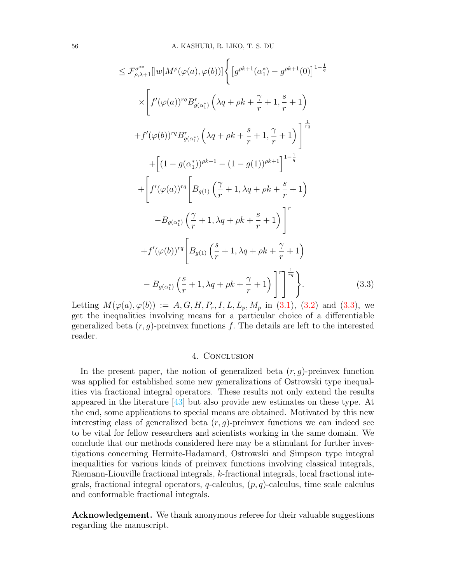$$
\leq \mathcal{F}_{\rho,\lambda+1}^{\sigma^{**}}[|w|M^{\rho}(\varphi(a),\varphi(b))]\Big\{ \left[g^{\rho k+1}(\alpha_{1}^{*})-g^{\rho k+1}(0)\right]^{1-\frac{1}{q}} \times \left[f'(\varphi(a))^{rq}B_{g(\alpha_{1}^{*})}^{r}\left(\lambda q+\rho k+\frac{\gamma}{r}+1,\frac{s}{r}+1\right) \right] +f'(\varphi(b))^{rq}B_{g(\alpha_{1}^{*})}^{r}\left(\lambda q+\rho k+\frac{s}{r}+1,\frac{\gamma}{r}+1\right) \Bigg] ^{\frac{1}{r_{q}}} + \left[(1-g(\alpha_{1}^{*}))^{\rho k+1}-(1-g(1))^{\rho k+1}\right]^{1-\frac{1}{q}} + \left[f'(\varphi(a))^{rq}\left[B_{g(1)}\left(\frac{\gamma}{r}+1,\lambda q+\rho k+\frac{s}{r}+1\right)\right]^{r} - B_{g(\alpha_{1}^{*})}\left(\frac{\gamma}{r}+1,\lambda q+\rho k+\frac{s}{r}+1\right)\right]^{r} +f'(\varphi(b))^{rq}\left[B_{g(1)}\left(\frac{s}{r}+1,\lambda q+\rho k+\frac{\gamma}{r}+1\right)\right]^{r} - B_{g(\alpha_{1}^{*})}\left(\frac{s}{r}+1,\lambda q+\rho k+\frac{\gamma}{r}+1\right) \Bigg] ^{r-\frac{1}{r_{q}}} \Big\}.
$$
 (3.3)

<span id="page-17-1"></span>Letting  $M(\varphi(a), \varphi(b)) := A, G, H, P_r, I, L, L_p, M_p$  in [\(3.1\)](#page-16-0), [\(3.2\)](#page-16-1) and [\(3.3\)](#page-17-1), we get the inequalities involving means for a particular choice of a differentiable generalized beta  $(r, g)$ -preinvex functions f. The details are left to the interested reader.

### 4. Conclusion

<span id="page-17-0"></span>In the present paper, the notion of generalized beta  $(r, g)$ -preinvex function was applied for established some new generalizations of Ostrowski type inequalities via fractional integral operators. These results not only extend the results appeared in the literature [\[43\]](#page-19-0) but also provide new estimates on these type. At the end, some applications to special means are obtained. Motivated by this new interesting class of generalized beta  $(r, g)$ -preinvex functions we can indeed see to be vital for fellow researchers and scientists working in the same domain. We conclude that our methods considered here may be a stimulant for further investigations concerning Hermite-Hadamard, Ostrowski and Simpson type integral inequalities for various kinds of preinvex functions involving classical integrals, Riemann-Liouville fractional integrals, k-fractional integrals, local fractional integrals, fractional integral operators,  $q$ -calculus,  $(p, q)$ -calculus, time scale calculus and conformable fractional integrals.

Acknowledgement. We thank anonymous referee for their valuable suggestions regarding the manuscript.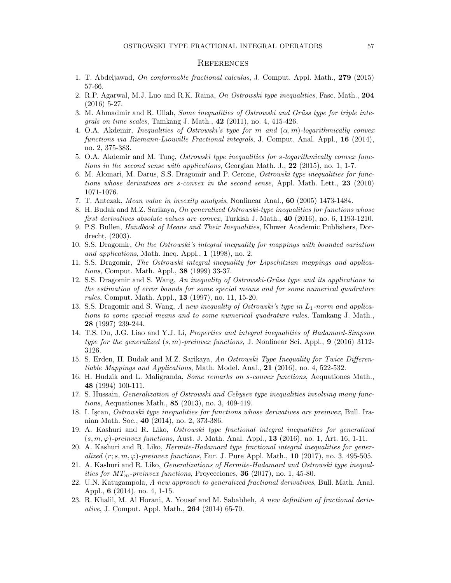#### **REFERENCES**

- <span id="page-18-10"></span>1. T. Abdeljawad, On conformable fractional calculus, J. Comput. Appl. Math., 279 (2015) 57-66.
- <span id="page-18-0"></span>2. R.P. Agarwal, M.J. Luo and R.K. Raina, On Ostrowski type inequalities, Fasc. Math., 204 (2016) 5-27.
- 3. M. Ahmadmir and R. Ullah, Some inequalities of Ostrowski and Grüss type for triple integrals on time scales, Tamkang J. Math., 42 (2011), no. 4, 415-426.
- 4. O.A. Akdemir, Inequalities of Ostrowski's type for m and  $(\alpha, m)$ -logarithmically convex functions via Riemann-Liouville Fractional integrals, J. Comput. Anal. Appl., 16 (2014), no. 2, 375-383.
- 5. O.A. Akdemir and M. Tunç, Ostrowski type inequalities for s-logarithmically convex functions in the second sense with applications, Georgian Math. J., 22 (2015), no. 1, 1-7.
- <span id="page-18-1"></span>6. M. Alomari, M. Darus, S.S. Dragomir and P. Cerone, Ostrowski type inequalities for functions whose derivatives are s-convex in the second sense, Appl. Math. Lett., 23 (2010) 1071-1076.
- <span id="page-18-14"></span>7. T. Antczak, Mean value in invexity analysis, Nonlinear Anal., 60 (2005) 1473-1484.
- <span id="page-18-2"></span>8. H. Budak and M.Z. Sarikaya, On generalized Ostrowski-type inequalities for functions whose first derivatives absolute values are convex, Turkish J. Math., 40 (2016), no. 6, 1193-1210.
- <span id="page-18-17"></span>9. P.S. Bullen, Handbook of Means and Their Inequalities, Kluwer Academic Publishers, Dordrecht, (2003).
- <span id="page-18-3"></span>10. S.S. Dragomir, On the Ostrowski's integral inequality for mappings with bounded variation and applications, Math. Ineq. Appl., 1 (1998), no. 2.
- <span id="page-18-9"></span>11. S.S. Dragomir, The Ostrowski integral inequality for Lipschitzian mappings and applications, Comput. Math. Appl., 38 (1999) 33-37.
- 12. S.S. Dragomir and S. Wang, An inequality of Ostrowski-Grüss type and its applications to the estimation of error bounds for some special means and for some numerical quadrature rules, Comput. Math. Appl., 13 (1997), no. 11, 15-20.
- <span id="page-18-4"></span>13. S.S. Dragomir and S. Wang, A new inequality of Ostrowski's type in  $L_1$ -norm and applications to some special means and to some numerical quadrature rules, Tamkang J. Math., 28 (1997) 239-244.
- <span id="page-18-15"></span>14. T.S. Du, J.G. Liao and Y.J. Li, Properties and integral inequalities of Hadamard-Simpson type for the generalized  $(s, m)$ -preinvex functions, J. Nonlinear Sci. Appl., 9 (2016) 3112-3126.
- <span id="page-18-5"></span>15. S. Erden, H. Budak and M.Z. Sarikaya, An Ostrowski Type Inequality for Twice Differentiable Mappings and Applications, Math. Model. Anal.,  $21$  (2016), no. 4, 522-532.
- <span id="page-18-13"></span>16. H. Hudzik and L. Maligranda, Some remarks on s-convex functions, Aequationes Math., 48 (1994) 100-111.
- <span id="page-18-6"></span>17. S. Hussain, Generalization of Ostrowski and Cebysev type inequalities involving many functions, Aequationes Math., 85 (2013), no. 3, 409-419.
- 18. I. Iscan, Ostrowski type inequalities for functions whose derivatives are preinvex, Bull. Iranian Math. Soc., 40 (2014), no. 2, 373-386.
- <span id="page-18-7"></span>19. A. Kashuri and R. Liko, Ostrowski type fractional integral inequalities for generalized  $(s, m, \varphi)$ -preinvex functions, Aust. J. Math. Anal. Appl., 13 (2016), no. 1, Art. 16, 1-11.
- <span id="page-18-16"></span>20. A. Kashuri and R. Liko, Hermite-Hadamard type fractional integral inequalities for generalized  $(r; s, m, \varphi)$ -preinvex functions, Eur. J. Pure Appl. Math., 10 (2017), no. 3, 495-505.
- <span id="page-18-8"></span>21. A. Kashuri and R. Liko, Generalizations of Hermite-Hadamard and Ostrowski type inequalities for  $MT_m$ -preinvex functions, Proyecciones, 36 (2017), no. 1, 45-80.
- <span id="page-18-11"></span>22. U.N. Katugampola, A new approach to generalized fractional derivatives, Bull. Math. Anal. Appl., 6 (2014), no. 4, 1-15.
- <span id="page-18-12"></span>23. R. Khalil, M. Al Horani, A. Yousef and M. Sababheh, A new definition of fractional derivative, J. Comput. Appl. Math., 264 (2014) 65-70.